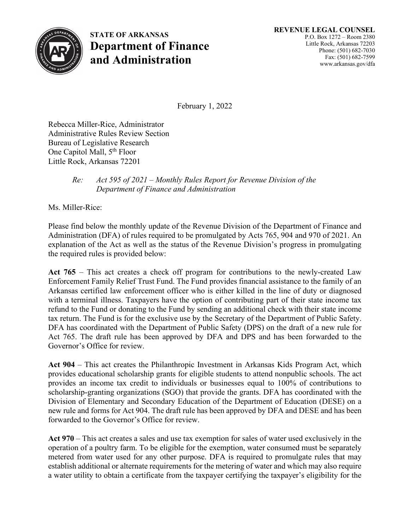

**STATE OF ARKANSAS Department of Finance and Administration**

February 1, 2022

Rebecca Miller-Rice, Administrator Administrative Rules Review Section Bureau of Legislative Research One Capitol Mall, 5<sup>th</sup> Floor Little Rock, Arkansas 72201

## *Re: Act 595 of 2021 – Monthly Rules Report for Revenue Division of the Department of Finance and Administration*

Ms. Miller-Rice:

Please find below the monthly update of the Revenue Division of the Department of Finance and Administration (DFA) of rules required to be promulgated by Acts 765, 904 and 970 of 2021. An explanation of the Act as well as the status of the Revenue Division's progress in promulgating the required rules is provided below:

**Act 765** – This act creates a check off program for contributions to the newly-created Law Enforcement Family Relief Trust Fund. The Fund provides financial assistance to the family of an Arkansas certified law enforcement officer who is either killed in the line of duty or diagnosed with a terminal illness. Taxpayers have the option of contributing part of their state income tax refund to the Fund or donating to the Fund by sending an additional check with their state income tax return. The Fund is for the exclusive use by the Secretary of the Department of Public Safety. DFA has coordinated with the Department of Public Safety (DPS) on the draft of a new rule for Act 765. The draft rule has been approved by DFA and DPS and has been forwarded to the Governor's Office for review.

**Act 904** – This act creates the Philanthropic Investment in Arkansas Kids Program Act, which provides educational scholarship grants for eligible students to attend nonpublic schools. The act provides an income tax credit to individuals or businesses equal to 100% of contributions to scholarship-granting organizations (SGO) that provide the grants. DFA has coordinated with the Division of Elementary and Secondary Education of the Department of Education (DESE) on a new rule and forms for Act 904. The draft rule has been approved by DFA and DESE and has been forwarded to the Governor's Office for review.

**Act 970** – This act creates a sales and use tax exemption for sales of water used exclusively in the operation of a poultry farm. To be eligible for the exemption, water consumed must be separately metered from water used for any other purpose. DFA is required to promulgate rules that may establish additional or alternate requirements for the metering of water and which may also require a water utility to obtain a certificate from the taxpayer certifying the taxpayer's eligibility for the